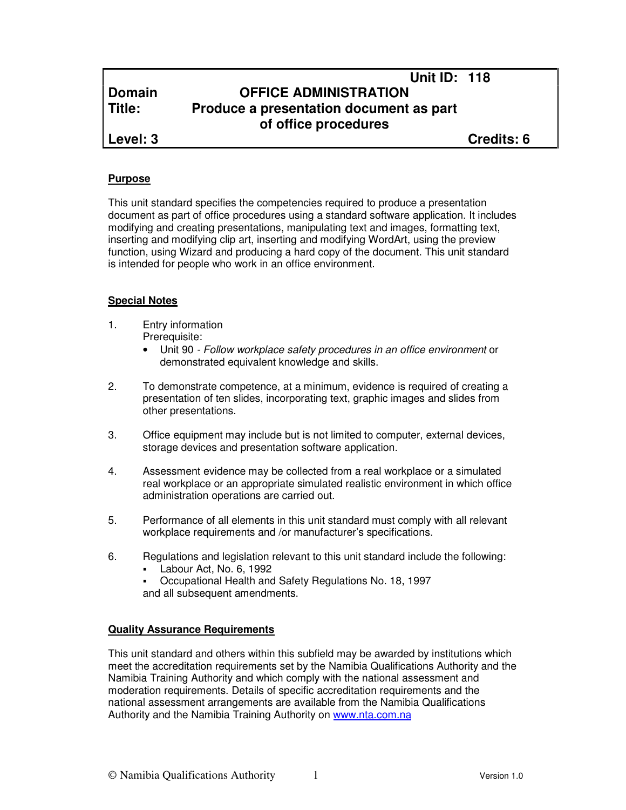## **Unit ID: 118 Domain OFFICE ADMINISTRATION Title: Produce a presentation document as part of office procedures**

**Level: 3 Credits: 6**

#### **Purpose**

This unit standard specifies the competencies required to produce a presentation document as part of office procedures using a standard software application. It includes modifying and creating presentations, manipulating text and images, formatting text, inserting and modifying clip art, inserting and modifying WordArt, using the preview function, using Wizard and producing a hard copy of the document. This unit standard is intended for people who work in an office environment.

## **Special Notes**

- 1. Entry information Prerequisite:
	- Unit 90 Follow workplace safety procedures in an office environment or demonstrated equivalent knowledge and skills.
- 2. To demonstrate competence, at a minimum, evidence is required of creating a presentation of ten slides, incorporating text, graphic images and slides from other presentations.
- 3. Office equipment may include but is not limited to computer, external devices, storage devices and presentation software application.
- 4. Assessment evidence may be collected from a real workplace or a simulated real workplace or an appropriate simulated realistic environment in which office administration operations are carried out.
- 5. Performance of all elements in this unit standard must comply with all relevant workplace requirements and /or manufacturer's specifications.
- 6. Regulations and legislation relevant to this unit standard include the following:
	- Labour Act, No. 6, 1992
	- Occupational Health and Safety Regulations No. 18, 1997 and all subsequent amendments.

#### **Quality Assurance Requirements**

This unit standard and others within this subfield may be awarded by institutions which meet the accreditation requirements set by the Namibia Qualifications Authority and the Namibia Training Authority and which comply with the national assessment and moderation requirements. Details of specific accreditation requirements and the national assessment arrangements are available from the Namibia Qualifications Authority and the Namibia Training Authority on www.nta.com.na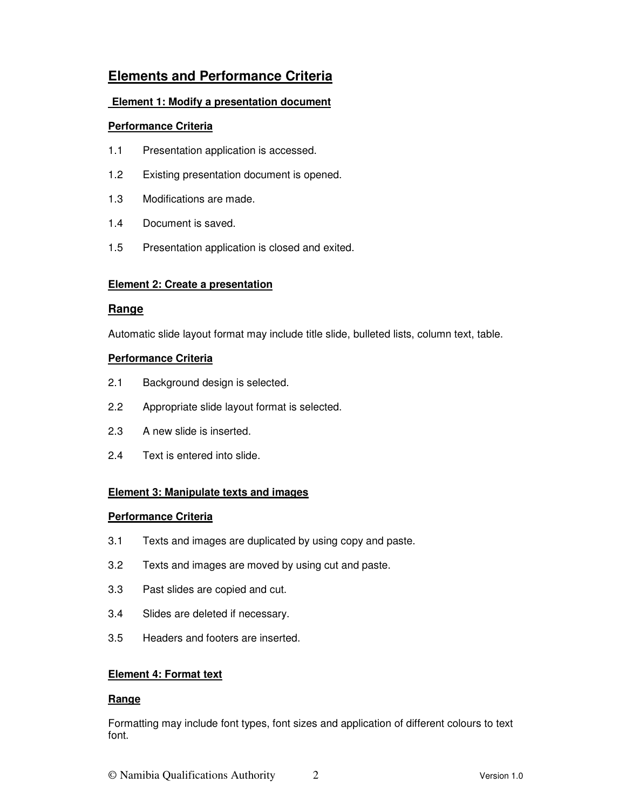# **Elements and Performance Criteria**

## **Element 1: Modify a presentation document**

## **Performance Criteria**

- 1.1 Presentation application is accessed.
- 1.2 Existing presentation document is opened.
- 1.3 Modifications are made.
- 1.4 Document is saved.
- 1.5 Presentation application is closed and exited.

## **Element 2: Create a presentation**

#### **Range**

Automatic slide layout format may include title slide, bulleted lists, column text, table.

## **Performance Criteria**

- 2.1 Background design is selected.
- 2.2 Appropriate slide layout format is selected.
- 2.3 A new slide is inserted.
- 2.4 Text is entered into slide.

## **Element 3: Manipulate texts and images**

#### **Performance Criteria**

- 3.1 Texts and images are duplicated by using copy and paste.
- 3.2 Texts and images are moved by using cut and paste.
- 3.3 Past slides are copied and cut.
- 3.4 Slides are deleted if necessary.
- 3.5 Headers and footers are inserted.

## **Element 4: Format text**

#### **Range**

Formatting may include font types, font sizes and application of different colours to text font.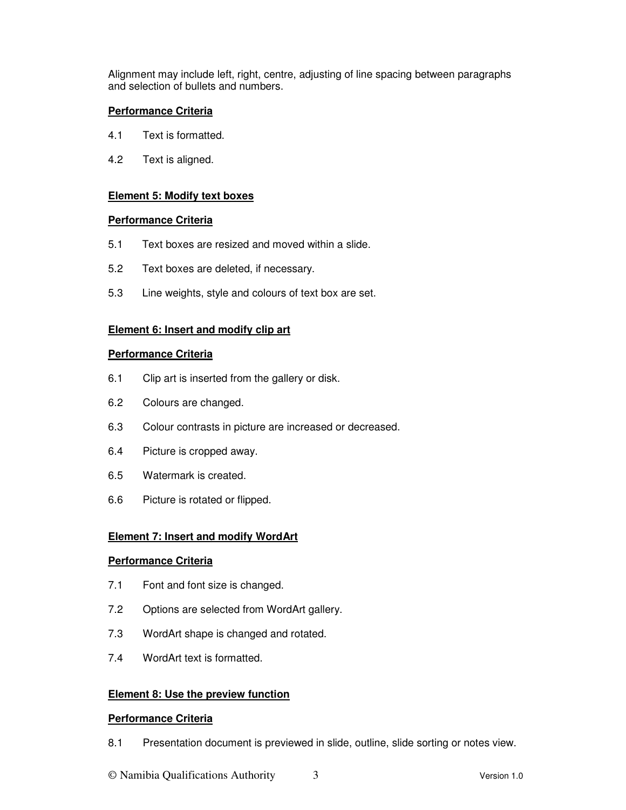Alignment may include left, right, centre, adjusting of line spacing between paragraphs and selection of bullets and numbers.

#### **Performance Criteria**

- 4.1 Text is formatted.
- 4.2 Text is aligned.

#### **Element 5: Modify text boxes**

#### **Performance Criteria**

- 5.1 Text boxes are resized and moved within a slide.
- 5.2 Text boxes are deleted, if necessary.
- 5.3 Line weights, style and colours of text box are set.

#### **Element 6: Insert and modify clip art**

#### **Performance Criteria**

- 6.1 Clip art is inserted from the gallery or disk.
- 6.2 Colours are changed.
- 6.3 Colour contrasts in picture are increased or decreased.
- 6.4 Picture is cropped away.
- 6.5 Watermark is created.
- 6.6 Picture is rotated or flipped.

#### **Element 7: Insert and modify WordArt**

#### **Performance Criteria**

- 7.1 Font and font size is changed.
- 7.2 Options are selected from WordArt gallery.
- 7.3 WordArt shape is changed and rotated.
- 7.4 WordArt text is formatted.

#### **Element 8: Use the preview function**

#### **Performance Criteria**

8.1 Presentation document is previewed in slide, outline, slide sorting or notes view.

© Namibia Qualifications Authority 3 Version 1.0